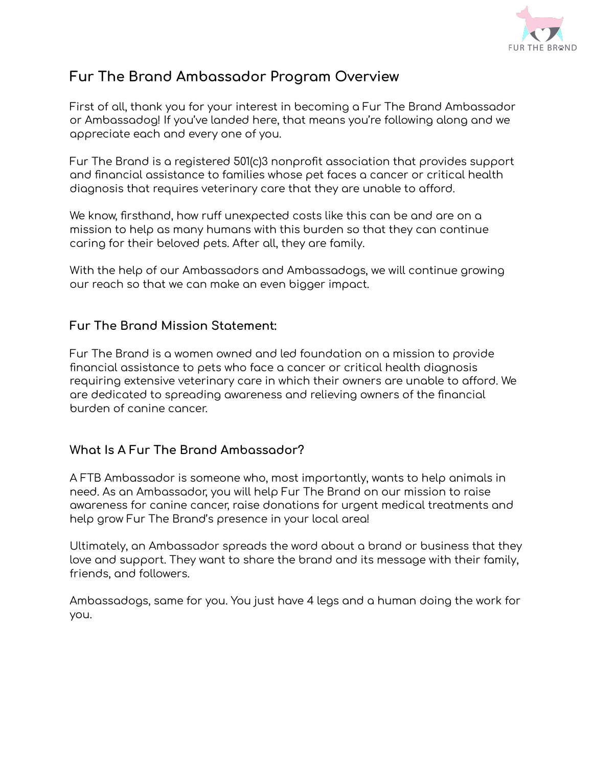

# **Fur The Brand Ambassador Program Overview**

First of all, thank you for your interest in becoming a Fur The Brand Ambassador or Ambassadog! If you've landed here, that means you're following along and we appreciate each and every one of you.

Fur The Brand is a registered 501(c)3 nonprofit association that provides support and financial assistance to families whose pet faces a cancer or critical health diagnosis that requires veterinary care that they are unable to afford.

We know, firsthand, how ruff unexpected costs like this can be and are on a mission to help as many humans with this burden so that they can continue caring for their beloved pets. After all, they are family.

With the help of our Ambassadors and Ambassadogs, we will continue growing our reach so that we can make an even bigger impact.

# **Fur The Brand Mission Statement:**

Fur The Brand is a women owned and led foundation on a mission to provide financial assistance to pets who face a cancer or critical health diagnosis requiring extensive veterinary care in which their owners are unable to afford. We are dedicated to spreading awareness and relieving owners of the financial burden of canine cancer.

# **What Is A Fur The Brand Ambassador?**

A FTB Ambassador is someone who, most importantly, wants to help animals in need. As an Ambassador, you will help Fur The Brand on our mission to raise awareness for canine cancer, raise donations for urgent medical treatments and help grow Fur The Brand's presence in your local area!

Ultimately, an Ambassador spreads the word about a brand or business that they love and support. They want to share the brand and its message with their family, friends, and followers.

Ambassadogs, same for you. You just have 4 legs and a human doing the work for you.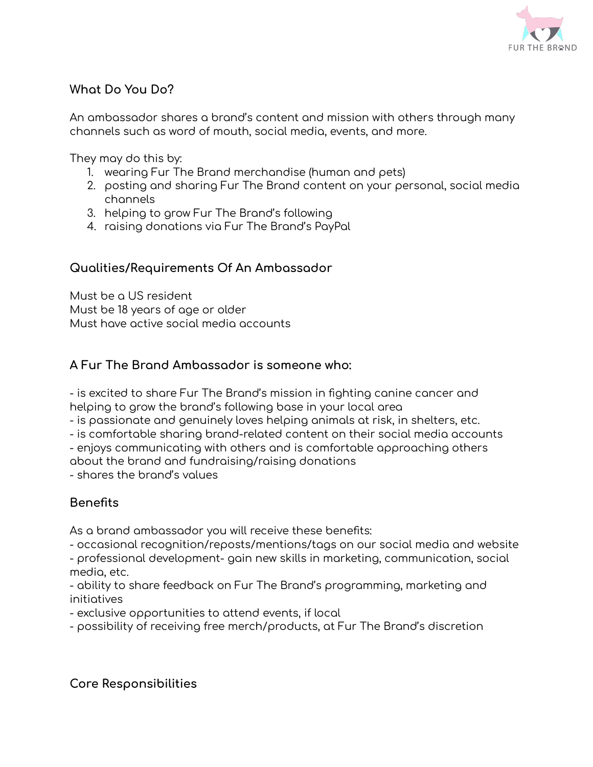

# **What Do You Do?**

An ambassador shares a brand's content and mission with others through many channels such as word of mouth, social media, events, and more.

They may do this by:

- 1. wearing Fur The Brand merchandise (human and pets)
- 2. posting and sharing Fur The Brand content on your personal, social media channels
- 3. helping to grow Fur The Brand's following
- 4. raising donations via Fur The Brand's PayPal

#### **Qualities/Requirements Of An Ambassador**

Must be a US resident Must be 18 years of age or older Must have active social media accounts

#### **A Fur The Brand Ambassador is someone who:**

- is excited to share Fur The Brand's mission in fighting canine cancer and helping to grow the brand's following base in your local area

- is passionate and genuinely loves helping animals at risk, in shelters, etc.

- is comfortable sharing brand-related content on their social media accounts

- enjoys communicating with others and is comfortable approaching others

about the brand and fundraising/raising donations

- shares the brand's values

# **Benefits**

As a brand ambassador you will receive these benefits:

- occasional recognition/reposts/mentions/tags on our social media and website - professional development- gain new skills in marketing, communication, social media, etc.

- ability to share feedback on Fur The Brand's programming, marketing and initiatives

- exclusive opportunities to attend events, if local

- possibility of receiving free merch/products, at Fur The Brand's discretion

#### **Core Responsibilities**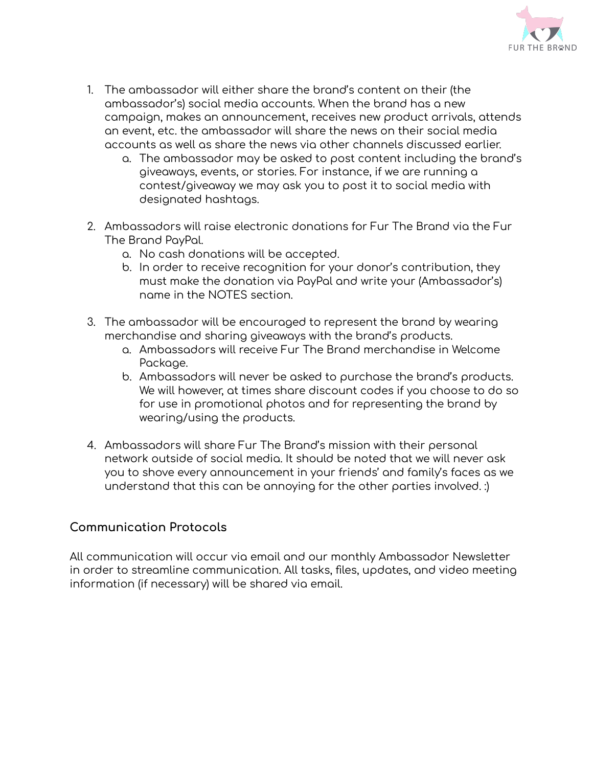

- 1. The ambassador will either share the brand's content on their (the ambassador's) social media accounts. When the brand has a new campaign, makes an announcement, receives new product arrivals, attends an event, etc. the ambassador will share the news on their social media accounts as well as share the news via other channels discussed earlier.
	- a. The ambassador may be asked to post content including the brand's giveaways, events, or stories. For instance, if we are running a contest/giveaway we may ask you to post it to social media with designated hashtags.
- 2. Ambassadors will raise electronic donations for Fur The Brand via the Fur The Brand PayPal.
	- a. No cash donations will be accepted.
	- b. In order to receive recognition for your donor's contribution, they must make the donation via PayPal and write your (Ambassador's) name in the NOTES section.
- 3. The ambassador will be encouraged to represent the brand by wearing merchandise and sharing giveaways with the brand's products.
	- a. Ambassadors will receive Fur The Brand merchandise in Welcome Package.
	- b. Ambassadors will never be asked to purchase the brand's products. We will however, at times share discount codes if you choose to do so for use in promotional photos and for representing the brand by wearing/using the products.
- 4. Ambassadors will share Fur The Brand's mission with their personal network outside of social media. It should be noted that we will never ask you to shove every announcement in your friends' and family's faces as we understand that this can be annoying for the other parties involved. :)

# **Communication Protocols**

All communication will occur via email and our monthly Ambassador Newsletter in order to streamline communication. All tasks, files, updates, and video meeting information (if necessary) will be shared via email.